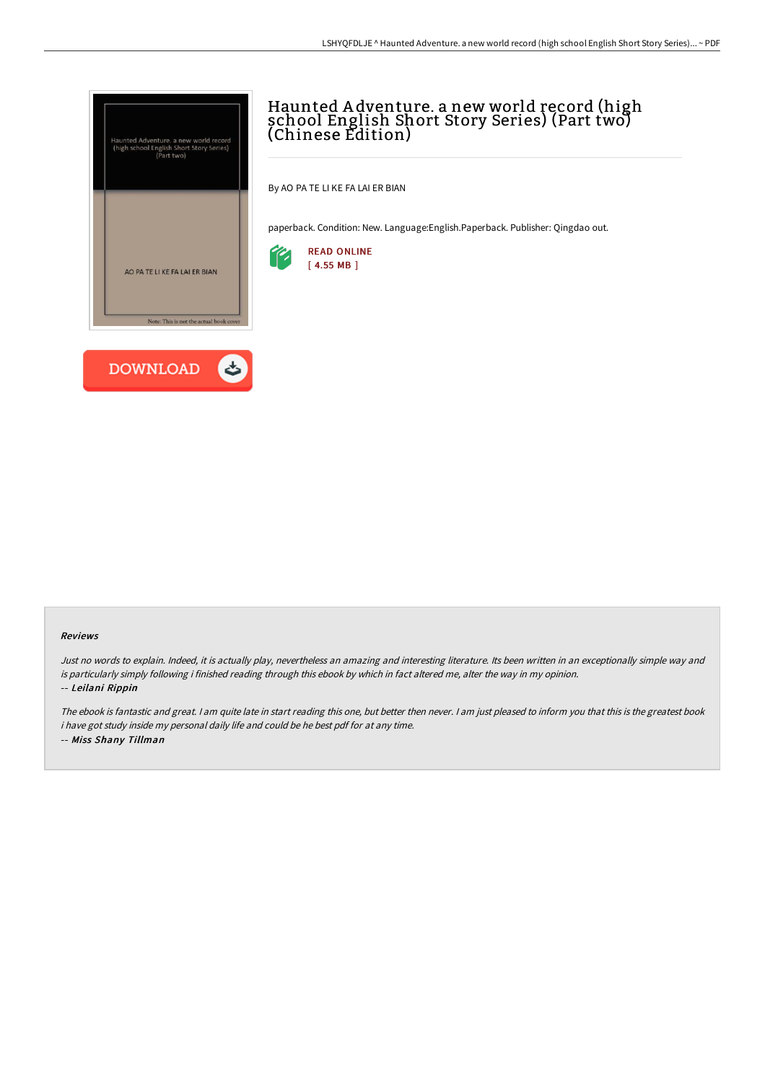



# Haunted A dventure. a new world record (high school English Short Story Series) (Part two) (Chinese Edition)

By AO PA TE LI KE FA LAI ER BIAN

paperback. Condition: New. Language:English.Paperback. Publisher: Qingdao out.



#### Reviews

Just no words to explain. Indeed, it is actually play, nevertheless an amazing and interesting literature. Its been written in an exceptionally simple way and is particularly simply following i finished reading through this ebook by which in fact altered me, alter the way in my opinion. -- Leilani Rippin

The ebook is fantastic and great. <sup>I</sup> am quite late in start reading this one, but better then never. <sup>I</sup> am just pleased to inform you that this is the greatest book i have got study inside my personal daily life and could be he best pdf for at any time. -- Miss Shany Tillman